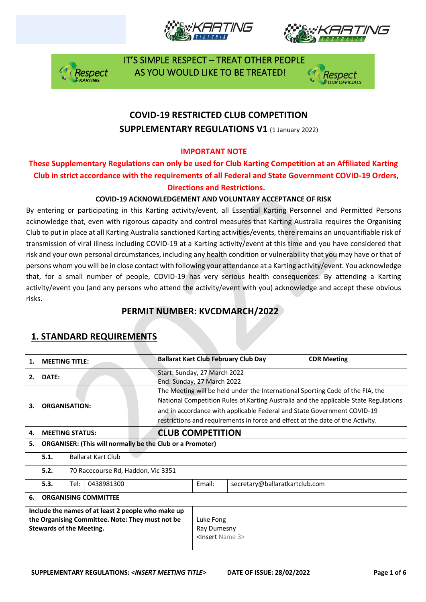







# **COVID-19 RESTRICTED CLUB COMPETITION SUPPLEMENTARY REGULATIONS V1 (1 January 2022)**

### **IMPORTANT NOTE**

### **These Supplementary Regulations can only be used for Club Karting Competition at an Affiliated Karting Club in strict accordance with the requirements of all Federal and State Government COVID-19 Orders, Directions and Restrictions.**

### **COVID-19 ACKNOWLEDGEMENT AND VOLUNTARY ACCEPTANCE OF RISK**

By entering or participating in this Karting activity/event, all Essential Karting Personnel and Permitted Persons acknowledge that, even with rigorous capacity and control measures that Karting Australia requires the Organising Club to put in place at all Karting Australia sanctioned Karting activities/events, there remains an unquantifiable risk of transmission of viral illness including COVID-19 at a Karting activity/event at this time and you have considered that risk and your own personal circumstances, including any health condition or vulnerability that you may have or that of persons whom you will be in close contact with following your attendance at a Karting activity/event. You acknowledge that, for a small number of people, COVID-19 has very serious health consequences. By attending a Karting activity/event you (and any persons who attend the activity/event with you) acknowledge and accept these obvious risks.

## **PERMIT NUMBER: KVCDMARCH/2022**

| 1.                                                                                                                                        | <b>MEETING TITLE:</b>                                            |                                    |  |                                                                                                                                                                                                                                                                                                                                     |                                                            | <b>Ballarat Kart Club February Club Day</b> | <b>CDR Meeting</b>             |  |  |
|-------------------------------------------------------------------------------------------------------------------------------------------|------------------------------------------------------------------|------------------------------------|--|-------------------------------------------------------------------------------------------------------------------------------------------------------------------------------------------------------------------------------------------------------------------------------------------------------------------------------------|------------------------------------------------------------|---------------------------------------------|--------------------------------|--|--|
| 2.                                                                                                                                        | DATE:                                                            |                                    |  | Start: Sunday, 27 March 2022<br>End: Sunday, 27 March 2022                                                                                                                                                                                                                                                                          |                                                            |                                             |                                |  |  |
| З.                                                                                                                                        | <b>ORGANISATION:</b>                                             |                                    |  | The Meeting will be held under the International Sporting Code of the FIA, the<br>National Competition Rules of Karting Australia and the applicable State Regulations<br>and in accordance with applicable Federal and State Government COVID-19<br>restrictions and requirements in force and effect at the date of the Activity. |                                                            |                                             |                                |  |  |
| 4.                                                                                                                                        | <b>MEETING STATUS:</b>                                           |                                    |  |                                                                                                                                                                                                                                                                                                                                     | <b>CLUB COMPETITION</b>                                    |                                             |                                |  |  |
| 5.                                                                                                                                        | <b>ORGANISER: (This will normally be the Club or a Promoter)</b> |                                    |  |                                                                                                                                                                                                                                                                                                                                     |                                                            |                                             |                                |  |  |
|                                                                                                                                           | 5.1.                                                             | <b>Ballarat Kart Club</b>          |  |                                                                                                                                                                                                                                                                                                                                     |                                                            |                                             |                                |  |  |
|                                                                                                                                           | 5.2.                                                             | 70 Racecourse Rd, Haddon, Vic 3351 |  |                                                                                                                                                                                                                                                                                                                                     |                                                            |                                             |                                |  |  |
|                                                                                                                                           | 5.3.                                                             | 0438981300<br>Tel:                 |  |                                                                                                                                                                                                                                                                                                                                     |                                                            | Email:                                      | secretary@ballaratkartclub.com |  |  |
| 6.                                                                                                                                        | <b>ORGANISING COMMITTEE</b>                                      |                                    |  |                                                                                                                                                                                                                                                                                                                                     |                                                            |                                             |                                |  |  |
| Include the names of at least 2 people who make up<br>the Organising Committee. Note: They must not be<br><b>Stewards of the Meeting.</b> |                                                                  |                                    |  |                                                                                                                                                                                                                                                                                                                                     | Luke Fong<br>Ray Dumesny<br><insert 3="" name=""></insert> |                                             |                                |  |  |

# **1. STANDARD REQUIREMENTS**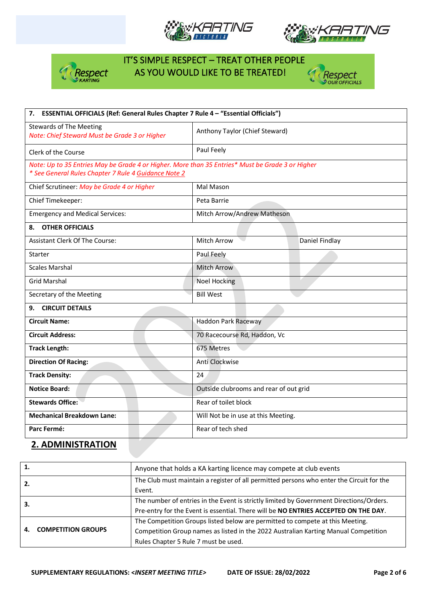







| 7. ESSENTIAL OFFICIALS (Ref: General Rules Chapter 7 Rule 4 - "Essential Officials")                                                                     |                                        |                |  |  |
|----------------------------------------------------------------------------------------------------------------------------------------------------------|----------------------------------------|----------------|--|--|
| <b>Stewards of The Meeting</b><br>Note: Chief Steward Must be Grade 3 or Higher                                                                          | Anthony Taylor (Chief Steward)         |                |  |  |
| Clerk of the Course                                                                                                                                      | Paul Feely                             |                |  |  |
| Note: Up to 35 Entries May be Grade 4 or Higher. More than 35 Entries* Must be Grade 3 or Higher<br>* See General Rules Chapter 7 Rule 4 Guidance Note 2 |                                        |                |  |  |
| Chief Scrutineer: May be Grade 4 or Higher                                                                                                               | Mal Mason                              |                |  |  |
| Chief Timekeeper:                                                                                                                                        | Peta Barrie                            |                |  |  |
| <b>Emergency and Medical Services:</b>                                                                                                                   | Mitch Arrow/Andrew Matheson            |                |  |  |
| <b>OTHER OFFICIALS</b><br>8.                                                                                                                             |                                        |                |  |  |
| <b>Assistant Clerk Of The Course:</b>                                                                                                                    | <b>Mitch Arrow</b>                     | Daniel Findlay |  |  |
| Starter                                                                                                                                                  | Paul Feely                             |                |  |  |
| <b>Scales Marshal</b>                                                                                                                                    | <b>Mitch Arrow</b>                     |                |  |  |
| <b>Grid Marshal</b>                                                                                                                                      | <b>Noel Hocking</b>                    |                |  |  |
| Secretary of the Meeting                                                                                                                                 | <b>Bill West</b>                       |                |  |  |
| <b>CIRCUIT DETAILS</b><br>9.                                                                                                                             |                                        |                |  |  |
| <b>Circuit Name:</b>                                                                                                                                     | <b>Haddon Park Raceway</b>             |                |  |  |
| <b>Circuit Address:</b>                                                                                                                                  | 70 Racecourse Rd, Haddon, Vc           |                |  |  |
| <b>Track Length:</b>                                                                                                                                     | 675 Metres                             |                |  |  |
| <b>Direction Of Racing:</b>                                                                                                                              | Anti Clockwise                         |                |  |  |
| <b>Track Density:</b>                                                                                                                                    | 24                                     |                |  |  |
| <b>Notice Board:</b>                                                                                                                                     | Outside clubrooms and rear of out grid |                |  |  |
| <b>Stewards Office:</b>                                                                                                                                  | Rear of toilet block                   |                |  |  |
| <b>Mechanical Breakdown Lane:</b>                                                                                                                        | Will Not be in use at this Meeting.    |                |  |  |
| Parc Fermé:                                                                                                                                              | Rear of tech shed                      |                |  |  |

## **2. ADMINISTRATION**

| 1. |                           | Anyone that holds a KA karting licence may compete at club events                        |  |  |
|----|---------------------------|------------------------------------------------------------------------------------------|--|--|
| 2. |                           | The Club must maintain a register of all permitted persons who enter the Circuit for the |  |  |
|    |                           | Event.                                                                                   |  |  |
| З. |                           | The number of entries in the Event is strictly limited by Government Directions/Orders.  |  |  |
|    |                           | Pre-entry for the Event is essential. There will be NO ENTRIES ACCEPTED ON THE DAY.      |  |  |
| 4. |                           | The Competition Groups listed below are permitted to compete at this Meeting.            |  |  |
|    | <b>COMPETITION GROUPS</b> | Competition Group names as listed in the 2022 Australian Karting Manual Competition      |  |  |
|    |                           | Rules Chapter 5 Rule 7 must be used.                                                     |  |  |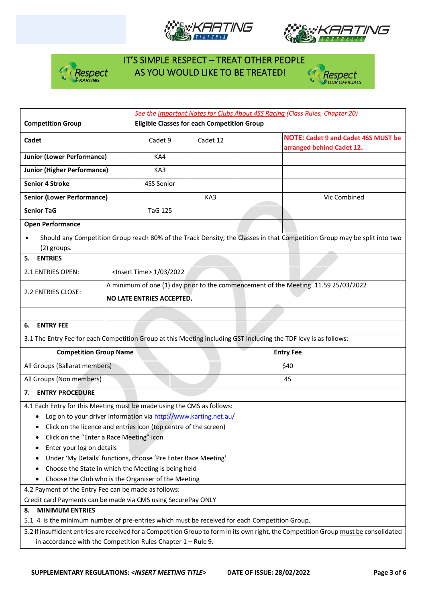







|                                                                                                                  |                                                                        | See the Important Notes for Clubs About 4SS Racing (Class Rules, Chapter 20)                                                          |     |                                                                         |                                                                                                                          |  |  |  |  |
|------------------------------------------------------------------------------------------------------------------|------------------------------------------------------------------------|---------------------------------------------------------------------------------------------------------------------------------------|-----|-------------------------------------------------------------------------|--------------------------------------------------------------------------------------------------------------------------|--|--|--|--|
| <b>Competition Group</b>                                                                                         |                                                                        | <b>Eligible Classes for each Competition Group</b>                                                                                    |     |                                                                         |                                                                                                                          |  |  |  |  |
| Cadet                                                                                                            | Cadet 9                                                                | Cadet 12                                                                                                                              |     | <b>NOTE: Cadet 9 and Cadet 4SS MUST be</b><br>arranged behind Cadet 12. |                                                                                                                          |  |  |  |  |
| <b>Junior (Lower Performance)</b>                                                                                |                                                                        | KA4                                                                                                                                   |     |                                                                         |                                                                                                                          |  |  |  |  |
| <b>Junior (Higher Performance)</b>                                                                               |                                                                        | KA3                                                                                                                                   |     |                                                                         |                                                                                                                          |  |  |  |  |
| <b>Senior 4 Stroke</b>                                                                                           |                                                                        | 4SS Senior                                                                                                                            |     |                                                                         |                                                                                                                          |  |  |  |  |
| <b>Senior (Lower Performance)</b>                                                                                |                                                                        |                                                                                                                                       | KA3 |                                                                         | Vic Combined                                                                                                             |  |  |  |  |
| <b>Senior TaG</b>                                                                                                |                                                                        | <b>TaG 125</b>                                                                                                                        |     |                                                                         |                                                                                                                          |  |  |  |  |
| <b>Open Performance</b>                                                                                          |                                                                        |                                                                                                                                       |     |                                                                         |                                                                                                                          |  |  |  |  |
| (2) groups.<br>5. ENTRIES                                                                                        |                                                                        |                                                                                                                                       |     |                                                                         | Should any Competition Group reach 80% of the Track Density, the Classes in that Competition Group may be split into two |  |  |  |  |
|                                                                                                                  |                                                                        |                                                                                                                                       |     |                                                                         |                                                                                                                          |  |  |  |  |
| 2.1 ENTRIES OPEN:                                                                                                |                                                                        | <lnsert time=""> 1/03/2022</lnsert>                                                                                                   |     |                                                                         |                                                                                                                          |  |  |  |  |
| 2.2 ENTRIES CLOSE:                                                                                               |                                                                        | A minimum of one (1) day prior to the commencement of the Meeting 11.59 25/03/2022                                                    |     |                                                                         |                                                                                                                          |  |  |  |  |
|                                                                                                                  |                                                                        | <b>NO LATE ENTRIES ACCEPTED.</b>                                                                                                      |     |                                                                         |                                                                                                                          |  |  |  |  |
|                                                                                                                  |                                                                        |                                                                                                                                       |     |                                                                         |                                                                                                                          |  |  |  |  |
| <b>ENTRY FEE</b><br>6.                                                                                           |                                                                        |                                                                                                                                       |     |                                                                         |                                                                                                                          |  |  |  |  |
| 3.1 The Entry Fee for each Competition Group at this Meeting including GST including the TDF levy is as follows: |                                                                        |                                                                                                                                       |     |                                                                         |                                                                                                                          |  |  |  |  |
| <b>Competition Group Name</b>                                                                                    | <b>Entry Fee</b>                                                       |                                                                                                                                       |     |                                                                         |                                                                                                                          |  |  |  |  |
| All Groups (Ballarat members)                                                                                    |                                                                        | \$40                                                                                                                                  |     |                                                                         |                                                                                                                          |  |  |  |  |
| All Groups (Non members)                                                                                         |                                                                        | 45                                                                                                                                    |     |                                                                         |                                                                                                                          |  |  |  |  |
| 7. ENTRY PROCEDURE                                                                                               |                                                                        |                                                                                                                                       |     |                                                                         |                                                                                                                          |  |  |  |  |
|                                                                                                                  | 4.1 Each Entry for this Meeting must be made using the CMS as follows: |                                                                                                                                       |     |                                                                         |                                                                                                                          |  |  |  |  |
| Log on to your driver information via http://www.karting.net.au/                                                 |                                                                        |                                                                                                                                       |     |                                                                         |                                                                                                                          |  |  |  |  |
|                                                                                                                  | • Click on the licence and entries icon (top centre of the screen)     |                                                                                                                                       |     |                                                                         |                                                                                                                          |  |  |  |  |
| Click on the "Enter a Race Meeting" icon                                                                         |                                                                        |                                                                                                                                       |     |                                                                         |                                                                                                                          |  |  |  |  |
| Enter your log on details<br>٠                                                                                   |                                                                        |                                                                                                                                       |     |                                                                         |                                                                                                                          |  |  |  |  |
| Under 'My Details' functions, choose 'Pre Enter Race Meeting'                                                    |                                                                        |                                                                                                                                       |     |                                                                         |                                                                                                                          |  |  |  |  |
| Choose the State in which the Meeting is being held                                                              |                                                                        |                                                                                                                                       |     |                                                                         |                                                                                                                          |  |  |  |  |
| Choose the Club who is the Organiser of the Meeting                                                              |                                                                        |                                                                                                                                       |     |                                                                         |                                                                                                                          |  |  |  |  |
| 4.2 Payment of the Entry Fee can be made as follows:                                                             |                                                                        |                                                                                                                                       |     |                                                                         |                                                                                                                          |  |  |  |  |
| Credit card Payments can be made via CMS using SecurePay ONLY                                                    |                                                                        |                                                                                                                                       |     |                                                                         |                                                                                                                          |  |  |  |  |
| <b>MINIMUM ENTRIES</b><br>8.                                                                                     |                                                                        |                                                                                                                                       |     |                                                                         |                                                                                                                          |  |  |  |  |
| 5.1 4 is the minimum number of pre-entries which must be received for each Competition Group.                    |                                                                        |                                                                                                                                       |     |                                                                         |                                                                                                                          |  |  |  |  |
|                                                                                                                  |                                                                        | 5.2 If insufficient entries are received for a Competition Group to form in its own right, the Competition Group must be consolidated |     |                                                                         |                                                                                                                          |  |  |  |  |
| in accordance with the Competition Rules Chapter $1 -$ Rule 9.                                                   |                                                                        |                                                                                                                                       |     |                                                                         |                                                                                                                          |  |  |  |  |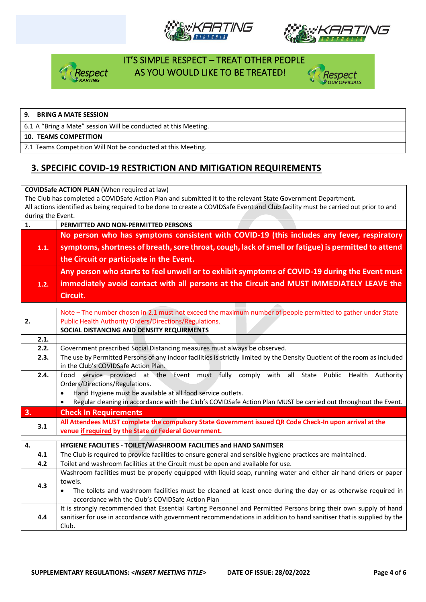







#### **9. BRING A MATE SESSION**

6.1 A "Bring a Mate" session Will be conducted at this Meeting.

#### **10. TEAMS COMPETITION**

7.1 Teams Competition Will Not be conducted at this Meeting.

## **3. SPECIFIC COVID-19 RESTRICTION AND MITIGATION REQUIREMENTS**

#### **COVIDSafe ACTION PLAN** (When required at law) The Club has completed a COVIDSafe Action Plan and submitted it to the relevant State Government Department. All actions identified as being required to be done to create a COVIDSafe Event and Club facility must be carried out prior to and during the Event. **1. PERMITTED AND NON-PERMITTED PERSONS 1.1. No person who has symptoms consistent with COVID-19 (this includes any fever, respiratory symptoms, shortness of breath, sore throat, cough, lack of smell or fatigue) is permitted to attend the Circuit or participate in the Event. 1.2. Any person who starts to feel unwell or to exhibit symptoms of COVID-19 during the Event must immediately avoid contact with all persons at the Circuit and MUST IMMEDIATELY LEAVE the Circuit. 2.** Note – The number chosen in 2.1 must not exceed the maximum number of people permitted to gather under State Public Health Authority Orders/Directions/Regulations. **SOCIAL DISTANCING AND DENSITY REQUIRMENTS 2.1. 2.2.** Government prescribed Social Distancing measures must always be observed. **2.3.** The use by Permitted Persons of any indoor facilities is strictly limited by the Density Quotient of the room as included in the Club's COVIDSafe Action Plan. **2.4.** Food service provided at the Event must fully comply with all State Public Health Authority Orders/Directions/Regulations. • Hand Hygiene must be available at all food service outlets. • Regular cleaning in accordance with the Club's COVIDSafe Action Plan MUST be carried out throughout the Event. **3. Check In Requirements 3.1 All Attendees MUST complete the compulsory State Government issued QR Code Check-In upon arrival at the venue if required by the State or Federal Government. 4. HYGIENE FACILITIES - TOILET/WASHROOM FACILITIES and HAND SANITISER 4.1** The Club is required to provide facilities to ensure general and sensible hygiene practices are maintained. **4.2** Toilet and washroom facilities at the Circuit must be open and available for use. **4.3** Washroom facilities must be properly equipped with liquid soap, running water and either air hand driers or paper towels. • The toilets and washroom facilities must be cleaned at least once during the day or as otherwise required in accordance with the Club's COVIDSafe Action Plan **4.4** It is strongly recommended that Essential Karting Personnel and Permitted Persons bring their own supply of hand sanitiser for use in accordance with government recommendations in addition to hand sanitiser that is supplied by the Club.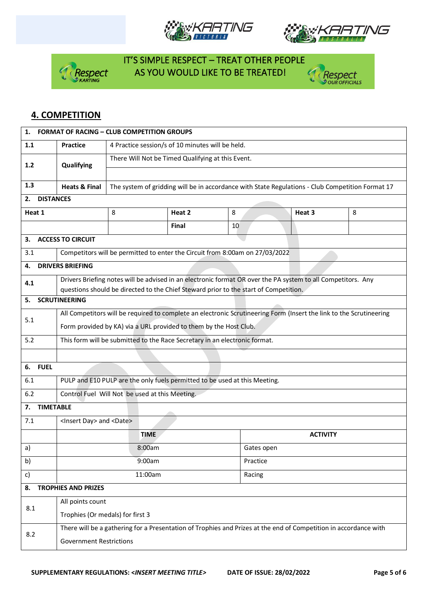







# **4. COMPETITION**

| 1.<br><b>FORMAT OF RACING - CLUB COMPETITION GROUPS</b> |                                                                                                                                                    |                                                                                                  |              |          |                                                                                                              |   |  |  |  |
|---------------------------------------------------------|----------------------------------------------------------------------------------------------------------------------------------------------------|--------------------------------------------------------------------------------------------------|--------------|----------|--------------------------------------------------------------------------------------------------------------|---|--|--|--|
| 1.1                                                     | <b>Practice</b>                                                                                                                                    | 4 Practice session/s of 10 minutes will be held.                                                 |              |          |                                                                                                              |   |  |  |  |
| 1.2                                                     | Qualifying                                                                                                                                         | There Will Not be Timed Qualifying at this Event.                                                |              |          |                                                                                                              |   |  |  |  |
|                                                         |                                                                                                                                                    |                                                                                                  |              |          |                                                                                                              |   |  |  |  |
| 1.3                                                     | <b>Heats &amp; Final</b>                                                                                                                           | The system of gridding will be in accordance with State Regulations - Club Competition Format 17 |              |          |                                                                                                              |   |  |  |  |
| <b>DISTANCES</b><br>2.                                  |                                                                                                                                                    |                                                                                                  |              |          |                                                                                                              |   |  |  |  |
| Heat 1                                                  |                                                                                                                                                    | 8                                                                                                | Heat 2       | 8        | Heat 3                                                                                                       | 8 |  |  |  |
|                                                         |                                                                                                                                                    |                                                                                                  | <b>Final</b> | 10       |                                                                                                              |   |  |  |  |
| 3.                                                      | <b>ACCESS TO CIRCUIT</b>                                                                                                                           |                                                                                                  |              |          |                                                                                                              |   |  |  |  |
| 3.1                                                     |                                                                                                                                                    | Competitors will be permitted to enter the Circuit from 8:00am on 27/03/2022                     |              |          |                                                                                                              |   |  |  |  |
| 4.                                                      | <b>DRIVERS BRIEFING</b>                                                                                                                            |                                                                                                  |              |          |                                                                                                              |   |  |  |  |
| 4.1                                                     |                                                                                                                                                    | questions should be directed to the Chief Steward prior to the start of Competition.             |              |          | Drivers Briefing notes will be advised in an electronic format OR over the PA system to all Competitors. Any |   |  |  |  |
| 5.                                                      | <b>SCRUTINEERING</b>                                                                                                                               |                                                                                                  |              |          |                                                                                                              |   |  |  |  |
| 5.1                                                     | All Competitors will be required to complete an electronic Scrutineering Form (Insert the link to the Scrutineering                                |                                                                                                  |              |          |                                                                                                              |   |  |  |  |
|                                                         | Form provided by KA) via a URL provided to them by the Host Club.                                                                                  |                                                                                                  |              |          |                                                                                                              |   |  |  |  |
| 5.2                                                     | This form will be submitted to the Race Secretary in an electronic format.                                                                         |                                                                                                  |              |          |                                                                                                              |   |  |  |  |
|                                                         |                                                                                                                                                    |                                                                                                  |              |          |                                                                                                              |   |  |  |  |
| <b>FUEL</b><br>6.                                       |                                                                                                                                                    |                                                                                                  |              |          |                                                                                                              |   |  |  |  |
| 6.1                                                     | PULP and E10 PULP are the only fuels permitted to be used at this Meeting.                                                                         |                                                                                                  |              |          |                                                                                                              |   |  |  |  |
| 6.2                                                     | Control Fuel Will Not be used at this Meeting.                                                                                                     |                                                                                                  |              |          |                                                                                                              |   |  |  |  |
| 7.                                                      | <b>TIMETABLE</b>                                                                                                                                   |                                                                                                  |              |          |                                                                                                              |   |  |  |  |
| 7.1                                                     | <insert day=""> and <date></date></insert>                                                                                                         |                                                                                                  |              |          |                                                                                                              |   |  |  |  |
|                                                         |                                                                                                                                                    | <b>TIME</b>                                                                                      |              |          | <b>ACTIVITY</b>                                                                                              |   |  |  |  |
| a)                                                      |                                                                                                                                                    | 8:00am                                                                                           |              |          | Gates open                                                                                                   |   |  |  |  |
| b)                                                      |                                                                                                                                                    | 9:00am                                                                                           |              | Practice |                                                                                                              |   |  |  |  |
| c)                                                      |                                                                                                                                                    | 11:00am                                                                                          |              | Racing   |                                                                                                              |   |  |  |  |
| 8.                                                      | <b>TROPHIES AND PRIZES</b>                                                                                                                         |                                                                                                  |              |          |                                                                                                              |   |  |  |  |
| 8.1                                                     | All points count                                                                                                                                   |                                                                                                  |              |          |                                                                                                              |   |  |  |  |
|                                                         | Trophies (Or medals) for first 3                                                                                                                   |                                                                                                  |              |          |                                                                                                              |   |  |  |  |
| 8.2                                                     | There will be a gathering for a Presentation of Trophies and Prizes at the end of Competition in accordance with<br><b>Government Restrictions</b> |                                                                                                  |              |          |                                                                                                              |   |  |  |  |
|                                                         |                                                                                                                                                    |                                                                                                  |              |          |                                                                                                              |   |  |  |  |
|                                                         |                                                                                                                                                    |                                                                                                  |              |          |                                                                                                              |   |  |  |  |